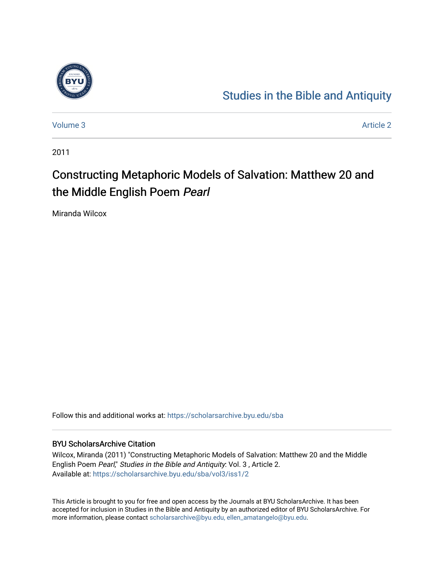

## [Studies in the Bible and Antiquity](https://scholarsarchive.byu.edu/sba)

[Volume 3](https://scholarsarchive.byu.edu/sba/vol3) Article 2

2011

# Constructing Metaphoric Models of Salvation: Matthew 20 and the Middle English Poem Pearl

Miranda Wilcox

Follow this and additional works at: [https://scholarsarchive.byu.edu/sba](https://scholarsarchive.byu.edu/sba?utm_source=scholarsarchive.byu.edu%2Fsba%2Fvol3%2Fiss1%2F2&utm_medium=PDF&utm_campaign=PDFCoverPages)

### BYU ScholarsArchive Citation

Wilcox, Miranda (2011) "Constructing Metaphoric Models of Salvation: Matthew 20 and the Middle English Poem Pearl," Studies in the Bible and Antiquity: Vol. 3, Article 2. Available at: [https://scholarsarchive.byu.edu/sba/vol3/iss1/2](https://scholarsarchive.byu.edu/sba/vol3/iss1/2?utm_source=scholarsarchive.byu.edu%2Fsba%2Fvol3%2Fiss1%2F2&utm_medium=PDF&utm_campaign=PDFCoverPages)

This Article is brought to you for free and open access by the Journals at BYU ScholarsArchive. It has been accepted for inclusion in Studies in the Bible and Antiquity by an authorized editor of BYU ScholarsArchive. For more information, please contact [scholarsarchive@byu.edu, ellen\\_amatangelo@byu.edu.](mailto:scholarsarchive@byu.edu,%20ellen_amatangelo@byu.edu)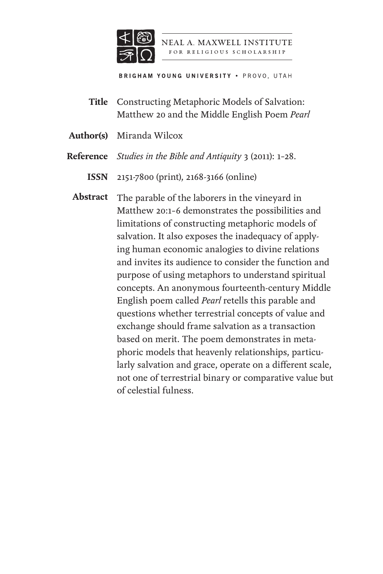

NEAL A. MAXWELL INSTITUTE FOR RELIGIOUS SCHOLARSHIP

**BRIGHAM YOUNG UNIVERSITY . PROVO, UTAH** 

Constructing Metaphoric Models of Salvation: Matthew 20 and the Middle English Poem *Pearl* **Title**

Miranda Wilcox **Author(s)**

*Studies in the Bible and Antiquity* 3 (2011): 1–28. **Reference**

2151-7800 (print), 2168-3166 (online) **ISSN**

Abstract The parable of the laborers in the vineyard in Matthew 20:1–6 demonstrates the possibilities and limitations of constructing metaphoric models of salvation. It also exposes the inadequacy of applying human economic analogies to divine relations and invites its audience to consider the function and purpose of using metaphors to understand spiritual concepts. An anonymous fourteenth-century Middle English poem called *Pearl* retells this parable and questions whether terrestrial concepts of value and exchange should frame salvation as a transaction based on merit. The poem demonstrates in metaphoric models that heavenly relationships, particularly salvation and grace, operate on a different scale, not one of terrestrial binary or comparative value but of celestial fulness.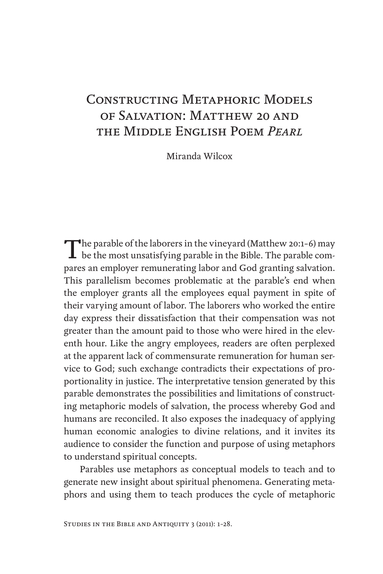## Constructing Metaphoric Models of Salvation: Matthew 20 and the Middle English Poem *Pearl*

Miranda Wilcox

The parable of the laborers in the vineyard (Matthew 20:1-6) may<br>be the most unsatisfying parable in the Bible. The parable compares an employer remunerating labor and God granting salvation. This parallelism becomes problematic at the parable's end when the employer grants all the employees equal payment in spite of their varying amount of labor. The laborers who worked the entire day express their dissatisfaction that their compensation was not greater than the amount paid to those who were hired in the eleventh hour. Like the angry employees, readers are often perplexed at the apparent lack of commensurate remuneration for human service to God; such exchange contradicts their expectations of proportionality in justice. The interpretative tension generated by this parable demonstrates the possibilities and limitations of constructing metaphoric models of salvation, the process whereby God and humans are reconciled. It also exposes the inadequacy of applying human economic analogies to divine relations, and it invites its audience to consider the function and purpose of using metaphors to understand spiritual concepts.

Parables use metaphors as conceptual models to teach and to generate new insight about spiritual phenomena. Generating metaphors and using them to teach produces the cycle of metaphoric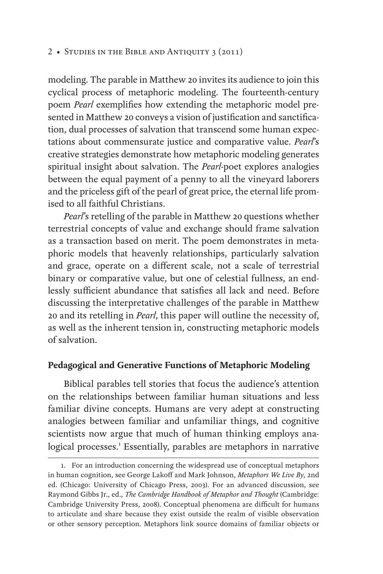modeling. The parable in Matthew 20 invites its audience to join this cyclical process of metaphoric modeling. The fourteenth-century poem *Pearl* exemplifies how extending the metaphoric model presented in Matthew 20 conveys a vision of justification and sanctification, dual processes of salvation that transcend some human expectations about commensurate justice and comparative value. *Pearl*'s creative strategies demonstrate how metaphoric modeling generates spiritual insight about salvation. The *Pearl*-poet explores analogies between the equal payment of a penny to all the vineyard laborers and the priceless gift of the pearl of great price, the eternal life promised to all faithful Christians.

*Pearl*'s retelling of the parable in Matthew 20 questions whether terrestrial concepts of value and exchange should frame salvation as a transaction based on merit. The poem demonstrates in metaphoric models that heavenly relationships, particularly salvation and grace, operate on a different scale, not a scale of terrestrial binary or comparative value, but one of celestial fullness, an endlessly sufficient abundance that satisfies all lack and need. Before discussing the interpretative challenges of the parable in Matthew 20 and its retelling in *Pearl*, this paper will outline the necessity of, as well as the inherent tension in, constructing metaphoric models of salvation.

### **Pedagogical and Generative Functions of Metaphoric Modeling**

Biblical parables tell stories that focus the audience's attention on the relationships between familiar human situations and less familiar divine concepts. Humans are very adept at constructing analogies between familiar and unfamiliar things, and cognitive scientists now argue that much of human thinking employs analogical processes.<sup>1</sup> Essentially, parables are metaphors in narrative

<sup>1.</sup> For an introduction concerning the widespread use of conceptual metaphors in human cognition, see George Lakoff and Mark Johnson, *Metaphors We Live By*, 2nd ed. (Chicago: University of Chicago Press, 2003). For an advanced discussion, see Raymond Gibbs Jr., ed., *The Cambridge Handbook of Metaphor and Thought* (Cambridge: Cambridge University Press, 2008). Conceptual phenomena are difficult for humans to articulate and share because they exist outside the realm of visible observation or other sensory perception. Metaphors link source domains of familiar objects or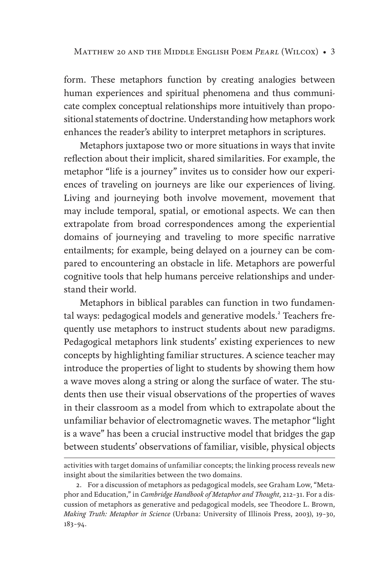form. These metaphors function by creating analogies between human experiences and spiritual phenomena and thus communicate complex conceptual relationships more intuitively than propositional statements of doctrine. Understanding how metaphors work enhances the reader's ability to interpret metaphors in scriptures.

Metaphors juxtapose two or more situations in ways that invite reflection about their implicit, shared similarities. For example, the metaphor "life is a journey" invites us to consider how our experiences of traveling on journeys are like our experiences of living. Living and journeying both involve movement, movement that may include temporal, spatial, or emotional aspects. We can then extrapolate from broad correspondences among the experiential domains of journeying and traveling to more specific narrative entailments; for example, being delayed on a journey can be compared to encountering an obstacle in life. Metaphors are powerful cognitive tools that help humans perceive relationships and understand their world.

Metaphors in biblical parables can function in two fundamental ways: pedagogical models and generative models.<sup>2</sup> Teachers frequently use metaphors to instruct students about new paradigms. Pedagogical metaphors link students' existing experiences to new concepts by highlighting familiar structures. A science teacher may introduce the properties of light to students by showing them how a wave moves along a string or along the surface of water. The students then use their visual observations of the properties of waves in their classroom as a model from which to extrapolate about the unfamiliar behavior of electromagnetic waves. The metaphor "light is a wave" has been a crucial instructive model that bridges the gap between students' observations of familiar, visible, physical objects

activities with target domains of unfamiliar concepts; the linking process reveals new insight about the similarities between the two domains.

<sup>2.</sup> For a discussion of metaphors as pedagogical models, see Graham Low, "Metaphor and Education," in *Cambridge Handbook of Metaphor and Thought*, 212–31. For a discussion of metaphors as generative and pedagogical models, see Theodore L. Brown, *Making Truth: Metaphor in Science* (Urbana: University of Illinois Press, 2003), 19–30, 183–94.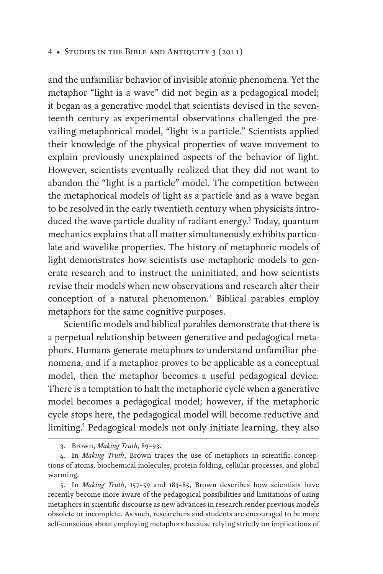and the unfamiliar behavior of invisible atomic phenomena. Yet the metaphor "light is a wave" did not begin as a pedagogical model; it began as a generative model that scientists devised in the seventeenth century as experimental observations challenged the prevailing metaphorical model, "light is a particle." Scientists applied their knowledge of the physical properties of wave movement to explain previously unexplained aspects of the behavior of light. However, scientists eventually realized that they did not want to abandon the "light is a particle" model. The competition between the metaphorical models of light as a particle and as a wave began to be resolved in the early twentieth century when physicists introduced the wave-particle duality of radiant energy.<sup>3</sup> Today, quantum mechanics explains that all matter simultaneously exhibits particulate and wavelike properties. The history of metaphoric models of light demonstrates how scientists use metaphoric models to generate research and to instruct the uninitiated, and how scientists revise their models when new observations and research alter their conception of a natural phenomenon.<sup>4</sup> Biblical parables employ metaphors for the same cognitive purposes.

Scientific models and biblical parables demonstrate that there is a perpetual relationship between generative and pedagogical metaphors. Humans generate metaphors to understand unfamiliar phenomena, and if a metaphor proves to be applicable as a conceptual model, then the metaphor becomes a useful pedagogical device. There is a temptation to halt the metaphoric cycle when a generative model becomes a pedagogical model; however, if the metaphoric cycle stops here, the pedagogical model will become reductive and limiting.<sup>5</sup> Pedagogical models not only initiate learning, they also

<sup>3.</sup> Brown, *Making Truth*, 89–93.

<sup>4.</sup> In *Making Truth*, Brown traces the use of metaphors in scientific conceptions of atoms, biochemical molecules, protein folding, cellular processes, and global warming.

<sup>5.</sup> In *Making Truth*, 157–59 and 183–85, Brown describes how scientists have recently become more aware of the pedagogical possibilities and limitations of using metaphors in scientific discourse as new advances in research render previous models obsolete or incomplete. As such, researchers and students are encouraged to be more self-conscious about employing metaphors because relying strictly on implications of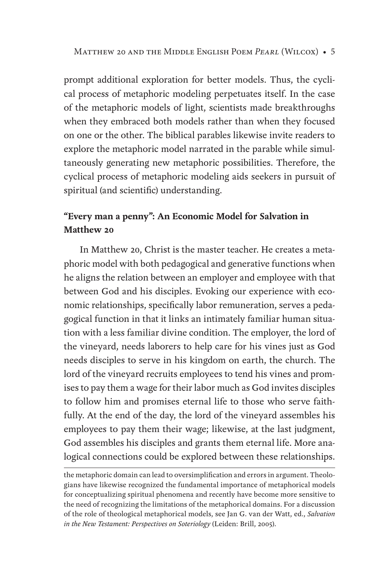prompt additional exploration for better models. Thus, the cyclical process of metaphoric modeling perpetuates itself. In the case of the metaphoric models of light, scientists made breakthroughs when they embraced both models rather than when they focused on one or the other. The biblical parables likewise invite readers to explore the metaphoric model narrated in the parable while simultaneously generating new metaphoric possibilities. Therefore, the cyclical process of metaphoric modeling aids seekers in pursuit of spiritual (and scientific) understanding.

## **"Every man a penny": An Economic Model for Salvation in Matthew 20**

In Matthew 20, Christ is the master teacher. He creates a metaphoric model with both pedagogical and generative functions when he aligns the relation between an employer and employee with that between God and his disciples. Evoking our experience with economic relationships, specifically labor remuneration, serves a pedagogical function in that it links an intimately familiar human situation with a less familiar divine condition. The employer, the lord of the vineyard, needs laborers to help care for his vines just as God needs disciples to serve in his kingdom on earth, the church. The lord of the vineyard recruits employees to tend his vines and promises to pay them a wage for their labor much as God invites disciples to follow him and promises eternal life to those who serve faithfully. At the end of the day, the lord of the vineyard assembles his employees to pay them their wage; likewise, at the last judgment, God assembles his disciples and grants them eternal life. More analogical connections could be explored between these relationships.

the metaphoric domain can lead to oversimplification and errors in argument. Theologians have likewise recognized the fundamental importance of metaphorical models for conceptualizing spiritual phenomena and recently have become more sensitive to the need of recognizing the limitations of the metaphorical domains. For a discussion of the role of theological metaphorical models, see Jan G. van der Watt, ed., *Salvation in the New Testament: Perspectives on Soteriology* (Leiden: Brill, 2005).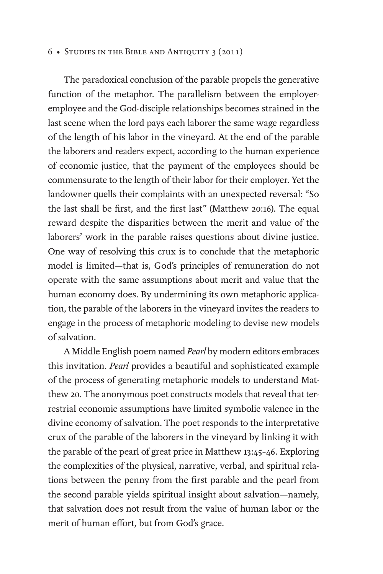The paradoxical conclusion of the parable propels the generative function of the metaphor. The parallelism between the employeremployee and the God-disciple relationships becomes strained in the last scene when the lord pays each laborer the same wage regardless of the length of his labor in the vineyard. At the end of the parable the laborers and readers expect, according to the human experience of economic justice, that the payment of the employees should be commensurate to the length of their labor for their employer. Yet the landowner quells their complaints with an unexpected reversal: "So the last shall be first, and the first last" (Matthew 20:16). The equal reward despite the disparities between the merit and value of the laborers' work in the parable raises questions about divine justice. One way of resolving this crux is to conclude that the metaphoric model is limited—that is, God's principles of remuneration do not operate with the same assumptions about merit and value that the human economy does. By undermining its own metaphoric application, the parable of the laborers in the vineyard invites the readers to engage in the process of metaphoric modeling to devise new models of salvation.

A Middle English poem named *Pearl* by modern editors embraces this invitation. *Pearl* provides a beautiful and sophisticated example of the process of generating metaphoric models to understand Matthew 20. The anonymous poet constructs models that reveal that terrestrial economic assumptions have limited symbolic valence in the divine economy of salvation. The poet responds to the interpretative crux of the parable of the laborers in the vineyard by linking it with the parable of the pearl of great price in Matthew 13:45–46. Exploring the complexities of the physical, narrative, verbal, and spiritual relations between the penny from the first parable and the pearl from the second parable yields spiritual insight about salvation—namely, that salvation does not result from the value of human labor or the merit of human effort, but from God's grace.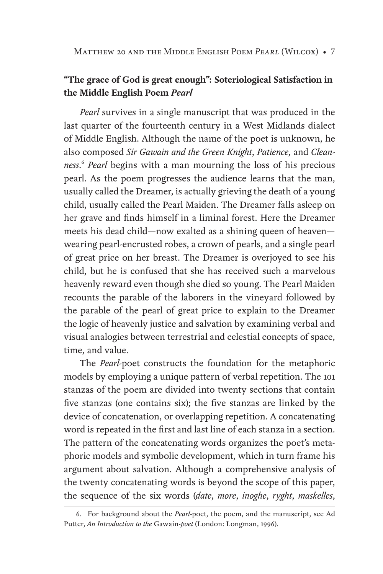Matthew 20 and the Middle English Poem *Pearl* (Wilcox) • 7

## **"The grace of God is great enough": Soteriological Satisfaction in the Middle English Poem** *Pearl*

*Pearl* survives in a single manuscript that was produced in the last quarter of the fourteenth century in a West Midlands dialect of Middle English. Although the name of the poet is unknown, he also composed *Sir Gawain and the Green Knight*, *Patience*, and *Cleanness*. <sup>6</sup> *Pearl* begins with a man mourning the loss of his precious pearl. As the poem progresses the audience learns that the man, usually called the Dreamer, is actually grieving the death of a young child, usually called the Pearl Maiden. The Dreamer falls asleep on her grave and finds himself in a liminal forest. Here the Dreamer meets his dead child—now exalted as a shining queen of heaven wearing pearl-encrusted robes, a crown of pearls, and a single pearl of great price on her breast. The Dreamer is overjoyed to see his child, but he is confused that she has received such a marvelous heavenly reward even though she died so young. The Pearl Maiden recounts the parable of the laborers in the vineyard followed by the parable of the pearl of great price to explain to the Dreamer the logic of heavenly justice and salvation by examining verbal and visual analogies between terrestrial and celestial concepts of space, time, and value.

The *Pearl*-poet constructs the foundation for the metaphoric models by employing a unique pattern of verbal repetition. The 101 stanzas of the poem are divided into twenty sections that contain five stanzas (one contains six); the five stanzas are linked by the device of concatenation, or overlapping repetition. A concatenating word is repeated in the first and last line of each stanza in a section. The pattern of the concatenating words organizes the poet's metaphoric models and symbolic development, which in turn frame his argument about salvation. Although a comprehensive analysis of the twenty concatenating words is beyond the scope of this paper, the sequence of the six words (*date*, *more*, *inoghe*, *ryght*, *maskelles*,

<sup>6.</sup> For background about the *Pearl*-poet, the poem, and the manuscript, see Ad Putter, *An Introduction to the* Gawain-*poet* (London: Longman, 1996).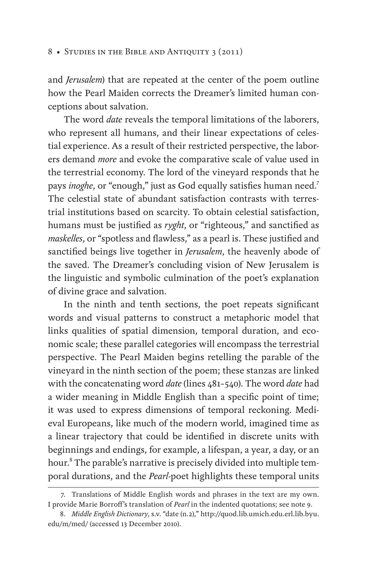and *Jerusalem*) that are repeated at the center of the poem outline how the Pearl Maiden corrects the Dreamer's limited human conceptions about salvation.

The word *date* reveals the temporal limitations of the laborers, who represent all humans, and their linear expectations of celestial experience. As a result of their restricted perspective, the laborers demand *more* and evoke the comparative scale of value used in the terrestrial economy. The lord of the vineyard responds that he pays *inoghe*, or "enough," just as God equally satisfies human need.<sup>7</sup> The celestial state of abundant satisfaction contrasts with terrestrial institutions based on scarcity. To obtain celestial satisfaction, humans must be justified as *ryght*, or "righteous," and sanctified as *maskelles*, or "spotless and flawless," as a pearl is. These justified and sanctified beings live together in *Jerusalem*, the heavenly abode of the saved. The Dreamer's concluding vision of New Jerusalem is the linguistic and symbolic culmination of the poet's explanation of divine grace and salvation.

In the ninth and tenth sections, the poet repeats significant words and visual patterns to construct a metaphoric model that links qualities of spatial dimension, temporal duration, and economic scale; these parallel categories will encompass the terrestrial perspective. The Pearl Maiden begins retelling the parable of the vineyard in the ninth section of the poem; these stanzas are linked with the concatenating word *date* (lines 481–540). The word *date* had a wider meaning in Middle English than a specific point of time; it was used to express dimensions of temporal reckoning. Medieval Europeans, like much of the modern world, imagined time as a linear trajectory that could be identified in discrete units with beginnings and endings, for example, a lifespan, a year, a day, or an hour.<sup>8</sup> The parable's narrative is precisely divided into multiple temporal durations, and the *Pearl*-poet highlights these temporal units

<sup>7.</sup> Translations of Middle English words and phrases in the text are my own. I provide Marie Borroff's translation of *Pearl* in the indented quotations; see note 9.

<sup>8.</sup> *Middle English Dictionary*, s.v. "date (n.2)," http://quod.lib.umich.edu.erl.lib.byu. edu/m/med/ (accessed 13 December 2010).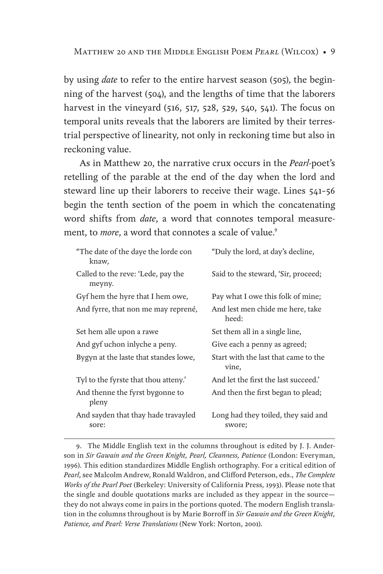Matthew 20 and the Middle English Poem *Pearl* (Wilcox) • 9

by using *date* to refer to the entire harvest season (505), the beginning of the harvest (504), and the lengths of time that the laborers harvest in the vineyard (516, 517, 528, 529, 540, 541). The focus on temporal units reveals that the laborers are limited by their terrestrial perspective of linearity, not only in reckoning time but also in reckoning value.

As in Matthew 20, the narrative crux occurs in the *Pearl*-poet's retelling of the parable at the end of the day when the lord and steward line up their laborers to receive their wage. Lines 541–56 begin the tenth section of the poem in which the concatenating word shifts from *date*, a word that connotes temporal measurement, to *more*, a word that connotes a scale of value.<sup>9</sup>

| "The date of the daye the lorde con<br>knaw, | "Duly the lord, at day's decline,             |
|----------------------------------------------|-----------------------------------------------|
| Called to the reve: 'Lede, pay the<br>meyny. | Said to the steward, 'Sir, proceed;           |
| Gyf hem the hyre that I hem owe,             | Pay what I owe this folk of mine;             |
| And fyrre, that non me may reprené,          | And lest men chide me here, take<br>heed:     |
| Set hem alle upon a rawe                     | Set them all in a single line,                |
| And gyf uchon inlyche a peny.                | Give each a penny as agreed;                  |
| Bygyn at the laste that standes lowe,        | Start with the last that came to the<br>vine, |
| Tyl to the fyrste that thou atteny.'         | And let the first the last succeed.'          |
| And thenne the fyrst bygonne to<br>pleny     | And then the first began to plead;            |
| And sayden that thay hade travayled<br>sore: | Long had they toiled, they said and<br>swore; |

9. The Middle English text in the columns throughout is edited by J. J. Anderson in *Sir Gawain and the Green Knight, Pearl, Cleanness, Patience* (London: Everyman, 1996). This edition standardizes Middle English orthography. For a critical edition of Pearl, see Malcolm Andrew, Ronald Waldron, and Clifford Peterson, eds., *The Complete Works of the Pearl Poet* (Berkeley: University of California Press, 1993). Please note that the single and double quotations marks are included as they appear in the source they do not always come in pairs in the portions quoted. The modern English translation in the columns throughout is by Marie Borroff in *Sir Gawain and the Green Knight, Patience, and Pearl: Verse Translations* (New York: Norton, 2001).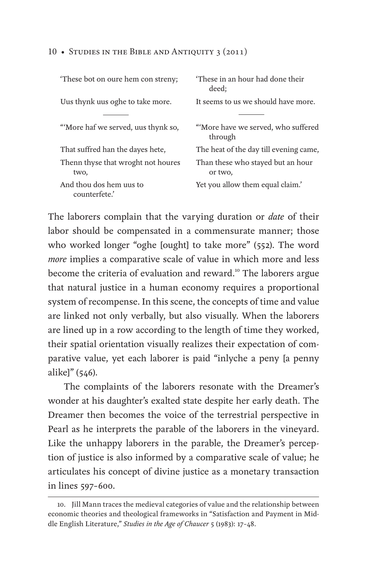| These bot on oure hem con streny;          | 'These in an hour had done their<br>deed:     |
|--------------------------------------------|-----------------------------------------------|
| Uus thynk uus oghe to take more.           | It seems to us we should have more.           |
|                                            |                                               |
| "More haf we served, uus thynk so,         | "More have we served, who suffered<br>through |
| That suffred han the dayes hete,           | The heat of the day till evening came,        |
| Thenn thyse that wroght not houres<br>two, | Than these who stayed but an hour<br>or two.  |
| And thou dos hem uus to<br>counterfete.'   | Yet you allow them equal claim.'              |

The laborers complain that the varying duration or *date* of their labor should be compensated in a commensurate manner; those who worked longer "oghe [ought] to take more" (552). The word *more* implies a comparative scale of value in which more and less become the criteria of evaluation and reward.<sup>10</sup> The laborers argue that natural justice in a human economy requires a proportional system of recompense. In this scene, the concepts of time and value are linked not only verbally, but also visually. When the laborers are lined up in a row according to the length of time they worked, their spatial orientation visually realizes their expectation of comparative value, yet each laborer is paid "inlyche a peny [a penny alike]" (546).

The complaints of the laborers resonate with the Dreamer's wonder at his daughter's exalted state despite her early death. The Dreamer then becomes the voice of the terrestrial perspective in Pearl as he interprets the parable of the laborers in the vineyard. Like the unhappy laborers in the parable, the Dreamer's perception of justice is also informed by a comparative scale of value; he articulates his concept of divine justice as a monetary transaction in lines 597–600.

<sup>10.</sup> Jill Mann traces the medieval categories of value and the relationship between economic theories and theological frameworks in "Satisfaction and Payment in Middle English Literature," *Studies in the Age of Chaucer* 5 (1983): 17–48.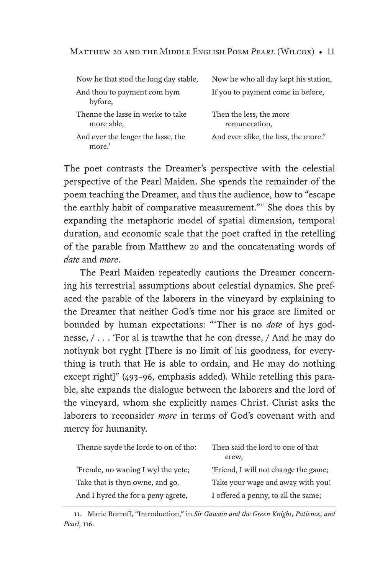| Now he that stod the long day stable,           | Now he who all day kept his station,     |
|-------------------------------------------------|------------------------------------------|
| And thou to payment com hym<br>byfore,          | If you to payment come in before,        |
| Thenne the lasse in werke to take<br>more able, | Then the less, the more<br>remuneration, |
| And ever the lenger the lasse, the<br>more.'    | And ever alike, the less, the more."     |

The poet contrasts the Dreamer's perspective with the celestial perspective of the Pearl Maiden. She spends the remainder of the poem teaching the Dreamer, and thus the audience, how to "escape the earthly habit of comparative measurement."<sup>11</sup> She does this by expanding the metaphoric model of spatial dimension, temporal duration, and economic scale that the poet crafted in the retelling of the parable from Matthew 20 and the concatenating words of *date* and *more*.

The Pearl Maiden repeatedly cautions the Dreamer concerning his terrestrial assumptions about celestial dynamics. She prefaced the parable of the laborers in the vineyard by explaining to the Dreamer that neither God's time nor his grace are limited or bounded by human expectations: "'Ther is no *date* of hys godnesse, / . . . 'For al is trawthe that he con dresse, / And he may do nothynk bot ryght [There is no limit of his goodness, for everything is truth that He is able to ordain, and He may do nothing except right]" (493–96, emphasis added). While retelling this parable, she expands the dialogue between the laborers and the lord of the vineyard, whom she explicitly names Christ. Christ asks the laborers to reconsider *more* in terms of God's covenant with and mercy for humanity.

| Thenne sayde the lorde to on of tho: | Then said the lord to one of that<br>crew, |
|--------------------------------------|--------------------------------------------|
| 'Frende, no waning I wyl the yete;   | 'Friend, I will not change the game;       |
| Take that is thyn owne, and go.      | Take your wage and away with you!          |
| And I hyred the for a peny agrete,   | I offered a penny, to all the same;        |

<sup>11.</sup> Marie Borroff, "Introduction," in *Sir Gawain and the Green Knight, Patience, and Pearl*, 116.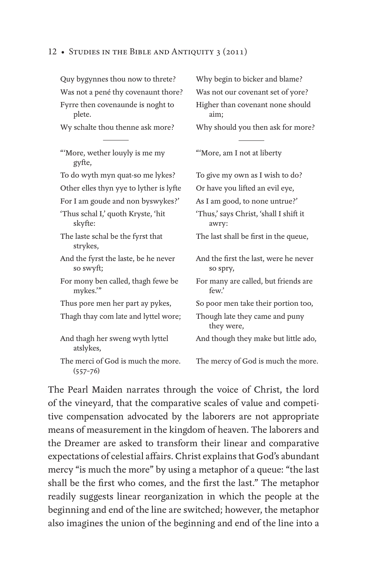| Quy bygynnes thou now to threte?                   | Why begin to bicker and blame?                    |
|----------------------------------------------------|---------------------------------------------------|
| Was not a pené thy covenaunt thore?                | Was not our covenant set of yore?                 |
| Fyrre then covenaunde is noght to<br>plete.        | Higher than covenant none should<br>aim;          |
| Wy schalte thou thenne ask more?                   | Why should you then ask for more?                 |
|                                                    |                                                   |
| "More, wether louyly is me my<br>gyfte,            | "More, am I not at liberty                        |
| To do wyth myn quat-so me lykes?                   | To give my own as I wish to do?                   |
| Other elles thyn yye to lyther is lyfte            | Or have you lifted an evil eye,                   |
| For I am goude and non byswykes?'                  | As I am good, to none untrue?'                    |
| 'Thus schal I,' quoth Kryste, 'hit<br>skyfte:      | 'Thus,' says Christ, 'shall I shift it<br>awry:   |
| The laste schal be the fyrst that<br>strykes,      | The last shall be first in the queue,             |
| And the fyrst the laste, be he never<br>so swyft;  | And the first the last, were he never<br>so spry, |
| For mony ben called, thagh fewe be<br>mykes."      | For many are called, but friends are<br>few.'     |
| Thus pore men her part ay pykes,                   | So poor men take their portion too,               |
| Thagh thay com late and lyttel wore;               | Though late they came and puny<br>they were,      |
| And thagh her sweng wyth lyttel<br>atslykes,       | And though they make but little ado,              |
| The merci of God is much the more.<br>$(557 - 76)$ | The mercy of God is much the more.                |

The Pearl Maiden narrates through the voice of Christ, the lord of the vineyard, that the comparative scales of value and competitive compensation advocated by the laborers are not appropriate means of measurement in the kingdom of heaven. The laborers and the Dreamer are asked to transform their linear and comparative expectations of celestial affairs. Christ explains that God's abundant mercy "is much the more" by using a metaphor of a queue: "the last shall be the first who comes, and the first the last." The metaphor readily suggests linear reorganization in which the people at the beginning and end of the line are switched; however, the metaphor also imagines the union of the beginning and end of the line into a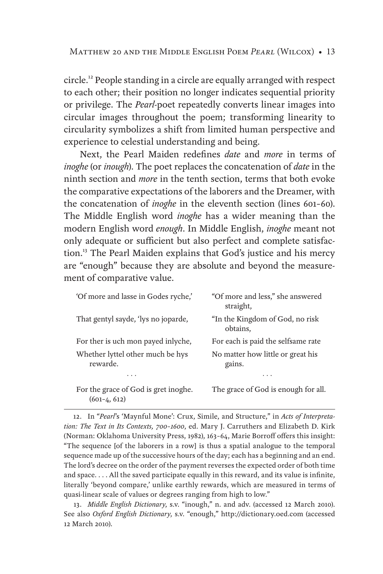circle.12 People standing in a circle are equally arranged with respect to each other; their position no longer indicates sequential priority or privilege. The *Pearl*-poet repeatedly converts linear images into circular images throughout the poem; transforming linearity to circularity symbolizes a shift from limited human perspective and experience to celestial understanding and being.

Next, the Pearl Maiden redefines *date* and *more* in terms of *inoghe* (or *inough*). The poet replaces the concatenation of *date* in the ninth section and *more* in the tenth section, terms that both evoke the comparative expectations of the laborers and the Dreamer, with the concatenation of *inoghe* in the eleventh section (lines 601–60). The Middle English word *inoghe* has a wider meaning than the modern English word *enough*. In Middle English, *inoghe* meant not only adequate or sufficient but also perfect and complete satisfaction.<sup>13</sup> The Pearl Maiden explains that God's justice and his mercy are "enough" because they are absolute and beyond the measurement of comparative value.

| 'Of more and lasse in Godes ryche,'                    | "Of more and less," she answered<br>straight, |
|--------------------------------------------------------|-----------------------------------------------|
| That gentyl sayde, 'lys no joparde,                    | "In the Kingdom of God, no risk<br>obtains.   |
| For ther is uch mon payed in lyche,                    | For each is paid the selfsame rate            |
| Whether lyttel other much be hys<br>rewarde.           | No matter how little or great his<br>gains.   |
|                                                        |                                               |
| For the grace of God is gret inoghe.<br>$(601-4, 612)$ | The grace of God is enough for all.           |

12. In "*Pearl*'s 'Maynful Mone': Crux, Simile, and Structure," in *Acts of Interpretation: The Text in Its Contexts, 700–1600*, ed. Mary J. Carruthers and Elizabeth D. Kirk (Norman: Oklahoma University Press, 1982), 163–64, Marie Borroff offers this insight: "The sequence [of the laborers in a row] is thus a spatial analogue to the temporal sequence made up of the successive hours of the day; each has a beginning and an end. The lord's decree on the order of the payment reverses the expected order of both time and space. . . . All the saved participate equally in this reward, and its value is infinite, literally 'beyond compare,' unlike earthly rewards, which are measured in terms of quasi-linear scale of values or degrees ranging from high to low."

13. *Middle English Dictionary*, s.v. "inough," n. and adv. (accessed 12 March 2010). See also *Oxford English Dictionary*, s.v. "enough," http://dictionary.oed.com (accessed 12 March 2010).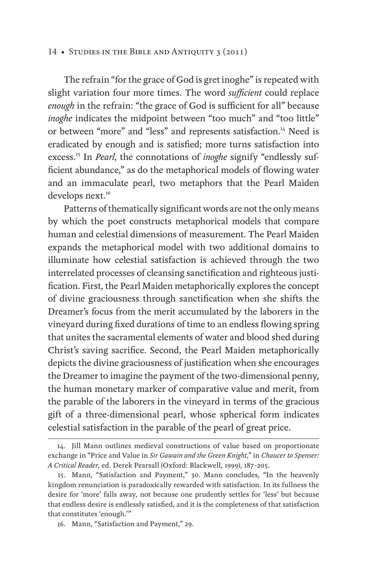The refrain "for the grace of God is gret inoghe" is repeated with slight variation four more times. The word *sufficient* could replace *enough* in the refrain: "the grace of God is sufficient for all" because inoghe indicates the midpoint between "too much" and "too little" or between "more" and "less" and represents satisfaction.14 Need is eradicated by enough and is satisfied; more turns satisfaction into excess.<sup>15</sup> In *Pearl*, the connotations of *inoghe* signify "endlessly sufficient abundance," as do the metaphorical models of flowing water and an immaculate pearl, two metaphors that the Pearl Maiden develops next.<sup>16</sup>

Patterns of thematically significant words are not the only means by which the poet constructs metaphorical models that compare human and celestial dimensions of measurement. The Pearl Maiden expands the metaphorical model with two additional domains to illuminate how celestial satisfaction is achieved through the two interrelated processes of cleansing sanctification and righteous justification. First, the Pearl Maiden metaphorically explores the concept of divine graciousness through sanctification when she shifts the Dreamer's focus from the merit accumulated by the laborers in the vineyard during fixed durations of time to an endless flowing spring that unites the sacramental elements of water and blood shed during Christ's saving sacrifice. Second, the Pearl Maiden metaphorically depicts the divine graciousness of justification when she encourages the Dreamer to imagine the payment of the two-dimensional penny, the human monetary marker of comparative value and merit, from the parable of the laborers in the vineyard in terms of the gracious gift of a three-dimensional pearl, whose spherical form indicates celestial satisfaction in the parable of the pearl of great price.

<sup>14.</sup> Jill Mann outlines medieval constructions of value based on proportionate exchange in "Price and Value in *Sir Gawain and the Green Knight*," in *Chaucer to Spenser: A Critical Reader*, ed. Derek Pearsall (Oxford: Blackwell, 1999), 187–205.

<sup>15.</sup> Mann, "Satisfaction and Payment," 30. Mann concludes, "In the heavenly kingdom renunciation is paradoxically rewarded with satisfaction. In its fullness the desire for 'more' falls away, not because one prudently settles for 'less' but because that endless desire is endlessly satisfied, and it is the completeness of that satisfaction that constitutes 'enough.'"

<sup>16.</sup> Mann, "Satisfaction and Payment," 29.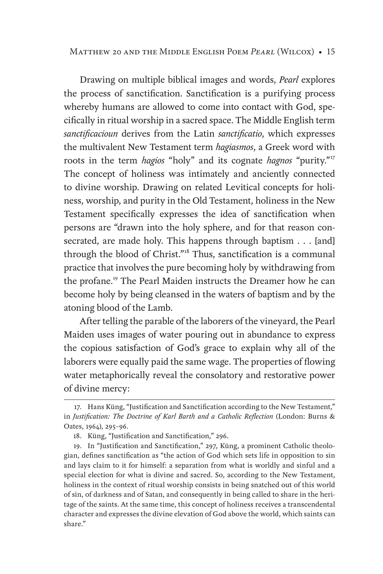Matthew 20 and the Middle English Poem *Pearl* (Wilcox) • 15

Drawing on multiple biblical images and words, *Pearl* explores the process of sanctification. Sanctification is a purifying process whereby humans are allowed to come into contact with God, specifically in ritual worship in a sacred space. The Middle English term *sanctificacioun* derives from the Latin *sanctificatio*, which expresses the multivalent New Testament term *hagiasmos*, a Greek word with roots in the term *hagios* "holy" and its cognate *hagnos* "purity."<sup>17</sup> The concept of holiness was intimately and anciently connected to divine worship. Drawing on related Levitical concepts for holiness, worship, and purity in the Old Testament, holiness in the New Testament specifically expresses the idea of sanctification when persons are "drawn into the holy sphere, and for that reason consecrated, are made holy. This happens through baptism . . . [and] through the blood of Christ."18 Thus, sanctification is a communal practice that involves the pure becoming holy by withdrawing from the profane.<sup>19</sup> The Pearl Maiden instructs the Dreamer how he can become holy by being cleansed in the waters of baptism and by the atoning blood of the Lamb.

After telling the parable of the laborers of the vineyard, the Pearl Maiden uses images of water pouring out in abundance to express the copious satisfaction of God's grace to explain why all of the laborers were equally paid the same wage. The properties of flowing water metaphorically reveal the consolatory and restorative power of divine mercy:

<sup>17.</sup> Hans Küng, "Justification and Sanctification according to the New Testament," in *Justification: The Doctrine of Karl Barth and a Catholic Reflection* (London: Burns & Oates, 1964), 295–96.

<sup>18.</sup> Küng, "Justification and Sanctification," 296.

<sup>19.</sup> In "Justification and Sanctification," 297, Küng, a prominent Catholic theologian, defines sanctification as "the action of God which sets life in opposition to sin and lays claim to it for himself: a separation from what is worldly and sinful and a special election for what is divine and sacred. So, according to the New Testament, holiness in the context of ritual worship consists in being snatched out of this world of sin, of darkness and of Satan, and consequently in being called to share in the heritage of the saints. At the same time, this concept of holiness receives a transcendental character and expresses the divine elevation of God above the world, which saints can share."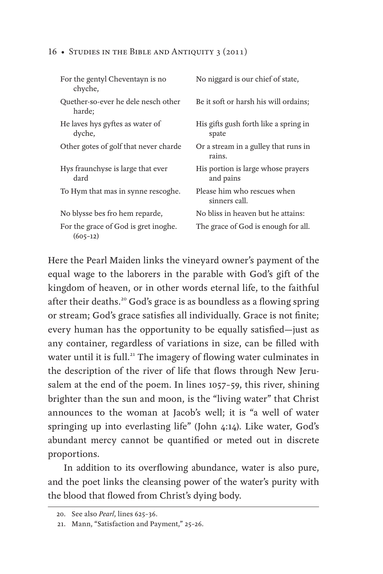| For the gentyl Cheventayn is no<br>chyche,         | No niggard is our chief of state,               |
|----------------------------------------------------|-------------------------------------------------|
| Quether-so-ever he dele nesch other<br>harde:      | Be it soft or harsh his will ordains;           |
| He laves hys gyftes as water of<br>dyche,          | His gifts gush forth like a spring in<br>spate  |
| Other gotes of golf that never charde              | Or a stream in a gulley that runs in<br>rains.  |
| Hys fraunchyse is large that ever<br>dard          | His portion is large whose prayers<br>and pains |
| To Hym that mas in synne rescoghe.                 | Please him who rescues when<br>sinners call.    |
| No blysse bes fro hem reparde,                     | No bliss in heaven but he attains:              |
| For the grace of God is gret inoghe.<br>$(605-12)$ | The grace of God is enough for all.             |

Here the Pearl Maiden links the vineyard owner's payment of the equal wage to the laborers in the parable with God's gift of the kingdom of heaven, or in other words eternal life, to the faithful after their deaths.<sup>20</sup> God's grace is as boundless as a flowing spring or stream; God's grace satisfies all individually. Grace is not finite; every human has the opportunity to be equally satisfied—just as any container, regardless of variations in size, can be filled with water until it is full.<sup>21</sup> The imagery of flowing water culminates in the description of the river of life that flows through New Jerusalem at the end of the poem. In lines 1057–59, this river, shining brighter than the sun and moon, is the "living water" that Christ announces to the woman at Jacob's well; it is "a well of water springing up into everlasting life" (John 4:14). Like water, God's abundant mercy cannot be quantified or meted out in discrete proportions.

In addition to its overflowing abundance, water is also pure, and the poet links the cleansing power of the water's purity with the blood that flowed from Christ's dying body.

<sup>20.</sup> See also *Pearl*, lines 625–36.

<sup>21.</sup> Mann, "Satisfaction and Payment," 25–26.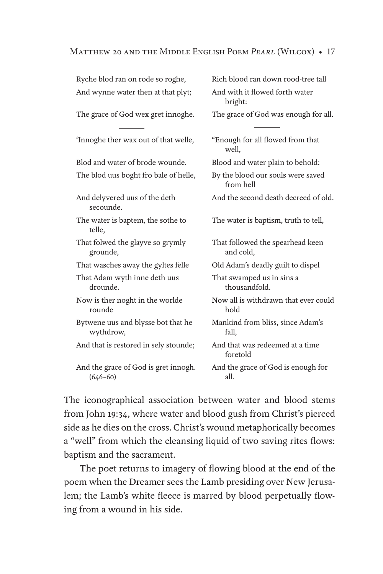#### Matthew 20 and the Middle English Poem *Pearl* (Wilcox) • 17

| Ryche blod ran on rode so roghe,                     | Rich blood ran down rood-tree tall             |
|------------------------------------------------------|------------------------------------------------|
| And wynne water then at that plyt;                   | And with it flowed forth water<br>bright:      |
| The grace of God wex gret innoghe.                   | The grace of God was enough for all.           |
| 'Innoghe ther wax out of that welle,                 | "Enough for all flowed from that<br>well.      |
| Blod and water of brode wounde.                      | Blood and water plain to behold:               |
| The blod uus boght fro bale of helle,                | By the blood our souls were saved<br>from hell |
| And delyvered uus of the deth<br>secounde.           | And the second death decreed of old.           |
| The water is baptem, the sothe to<br>telle,          | The water is baptism, truth to tell,           |
| That folwed the glayve so grymly<br>grounde,         | That followed the spearhead keen<br>and cold.  |
| That wasches away the gyltes felle                   | Old Adam's deadly guilt to dispel              |
| That Adam wyth inne deth uus<br>drounde.             | That swamped us in sins a<br>thousandfold.     |
| Now is ther noght in the worlde<br>rounde            | Now all is withdrawn that ever could<br>hold   |
| Bytwene uus and blysse bot that he<br>wythdrow,      | Mankind from bliss, since Adam's<br>fall,      |
| And that is restored in sely stounde;                | And that was redeemed at a time<br>foretold    |
| And the grace of God is gret innogh.<br>$(646 - 60)$ | And the grace of God is enough for<br>all.     |
|                                                      |                                                |

The iconographical association between water and blood stems from John 19:34, where water and blood gush from Christ's pierced side as he dies on the cross. Christ's wound metaphorically becomes a "well" from which the cleansing liquid of two saving rites flows: baptism and the sacrament.

The poet returns to imagery of flowing blood at the end of the poem when the Dreamer sees the Lamb presiding over New Jerusalem; the Lamb's white fleece is marred by blood perpetually flowing from a wound in his side.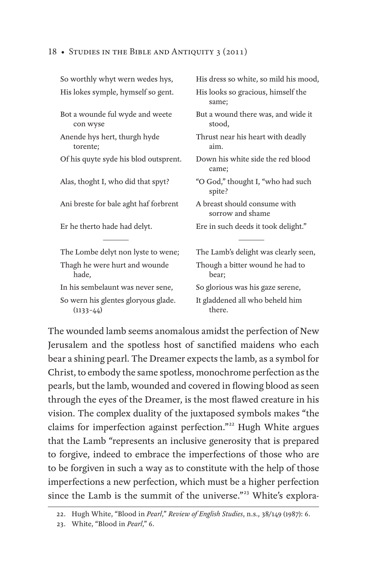| So worthly whyt wern wedes hys,                    | His dress so white, so mild his mood,            |
|----------------------------------------------------|--------------------------------------------------|
| His lokes symple, hymself so gent.                 | His looks so gracious, himself the<br>same;      |
| Bot a wounde ful wyde and weete<br>con wyse        | But a wound there was, and wide it<br>stood,     |
| Anende hys hert, thurgh hyde<br>torente;           | Thrust near his heart with deadly<br>aim.        |
| Of his quyte syde his blod outsprent.              | Down his white side the red blood<br>came;       |
| Alas, thoght I, who did that spyt?                 | "O God," thought I, "who had such<br>spite?      |
| Ani breste for bale aght haf forbrent              | A breast should consume with<br>sorrow and shame |
| Er he therto hade had delyt.                       | Ere in such deeds it took delight."              |
| The Lombe delyt non lyste to wene;                 | The Lamb's delight was clearly seen,             |
| Thagh he were hurt and wounde<br>hade,             | Though a bitter wound he had to<br>bear;         |
| In his sembelaunt was never sene,                  | So glorious was his gaze serene,                 |
| So wern his glentes gloryous glade.<br>$(1133-44)$ | It gladdened all who beheld him<br>there.        |
|                                                    |                                                  |

The wounded lamb seems anomalous amidst the perfection of New Jerusalem and the spotless host of sanctified maidens who each bear a shining pearl. The Dreamer expects the lamb, as a symbol for Christ, to embody the same spotless, monochrome perfection as the pearls, but the lamb, wounded and covered in flowing blood as seen through the eyes of the Dreamer, is the most flawed creature in his vision. The complex duality of the juxtaposed symbols makes "the claims for imperfection against perfection."<sup>22</sup> Hugh White argues that the Lamb "represents an inclusive generosity that is prepared to forgive, indeed to embrace the imperfections of those who are to be forgiven in such a way as to constitute with the help of those imperfections a new perfection, which must be a higher perfection since the Lamb is the summit of the universe."<sup>23</sup> White's explora-

<sup>22.</sup> Hugh White, "Blood in *Pearl*," *Review of English Studies*, n.s., 38/149 (1987): 6.

<sup>23.</sup> White, "Blood in *Pearl*," 6.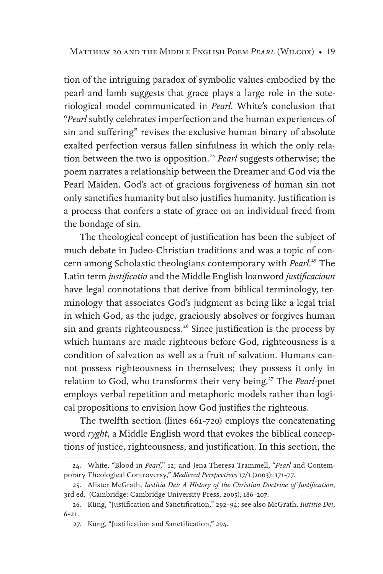tion of the intriguing paradox of symbolic values embodied by the pearl and lamb suggests that grace plays a large role in the soteriological model communicated in *Pearl*. White's conclusion that "*Pearl* subtly celebrates imperfection and the human experiences of sin and suffering" revises the exclusive human binary of absolute exalted perfection versus fallen sinfulness in which the only relation between the two is opposition.<sup>24</sup> *Pearl* suggests otherwise; the poem narrates a relationship between the Dreamer and God via the Pearl Maiden. God's act of gracious forgiveness of human sin not only sanctifies humanity but also justifies humanity. Justification is a process that confers a state of grace on an individual freed from the bondage of sin.

The theological concept of justification has been the subject of much debate in Judeo-Christian traditions and was a topic of concern among Scholastic theologians contemporary with *Pearl*. <sup>25</sup> The Latin term *justificatio* and the Middle English loanword *justificacioun* have legal connotations that derive from biblical terminology, terminology that associates God's judgment as being like a legal trial in which God, as the judge, graciously absolves or forgives human sin and grants righteousness.<sup>26</sup> Since justification is the process by which humans are made righteous before God, righteousness is a condition of salvation as well as a fruit of salvation. Humans cannot possess righteousness in themselves; they possess it only in relation to God, who transforms their very being.<sup>27</sup> The *Pearl-*poet employs verbal repetition and metaphoric models rather than logical propositions to envision how God justifies the righteous.

The twelfth section (lines 661–720) employs the concatenating word *ryght*, a Middle English word that evokes the biblical conceptions of justice, righteousness, and justification. In this section, the

<sup>24.</sup> White, "Blood in *Pearl*," 12; and Jena Theresa Trammell, "*Pearl* and Contemporary Theological Controversy," *Medieval Perspectives* 17/1 (2003): 171–77.

<sup>25.</sup> Alister McGrath, *Iustitia Dei: A History of the Christian Doctrine of Justification*, 3rd ed. (Cambridge: Cambridge University Press, 2005), 186–207.

<sup>26.</sup> Küng, "Justification and Sanctification," 292–94; see also McGrath, *Iustitia Dei*, 6–21.

<sup>27.</sup> Küng, "Justification and Sanctification," 294.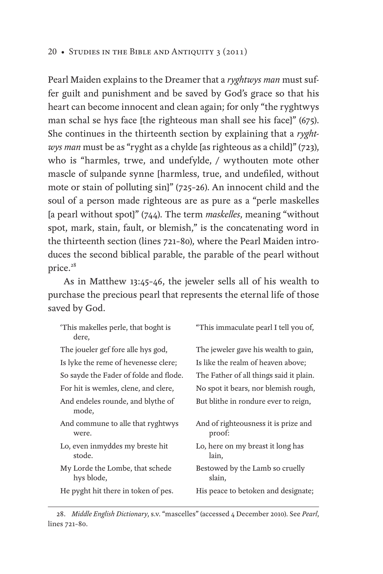Pearl Maiden explains to the Dreamer that a *ryghtwys man* must suffer guilt and punishment and be saved by God's grace so that his heart can become innocent and clean again; for only "the ryghtwys man schal se hys face [the righteous man shall see his face]" (675). She continues in the thirteenth section by explaining that a *ryghtwys man* must be as "ryght as a chylde [as righteous as a child]" (723), who is "harmles, trwe, and undefylde, / wythouten mote other mascle of sulpande synne [harmless, true, and undefiled, without mote or stain of polluting sin]" (725–26). An innocent child and the soul of a person made righteous are as pure as a "perle maskelles [a pearl without spot]" (744). The term *maskelles*, meaning "without spot, mark, stain, fault, or blemish," is the concatenating word in the thirteenth section (lines 721–80), where the Pearl Maiden introduces the second biblical parable, the parable of the pearl without price.<sup>28</sup>

As in Matthew 13:45–46, the jeweler sells all of his wealth to purchase the precious pearl that represents the eternal life of those saved by God.

| This makelles perle, that boght is<br>dere,   | "This immaculate pearl I tell you of,          |
|-----------------------------------------------|------------------------------------------------|
| The joueler gef fore alle hys god,            | The jeweler gave his wealth to gain,           |
| Is lyke the reme of hevenesse clere;          | Is like the realm of heaven above;             |
| So sayde the Fader of folde and flode.        | The Father of all things said it plain.        |
| For hit is wemles, clene, and clere,          | No spot it bears, nor blemish rough,           |
| And endeles rounde, and blythe of<br>mode,    | But blithe in rondure ever to reign,           |
| And commune to alle that ryghtwys<br>were.    | And of righteousness it is prize and<br>proof: |
| Lo, even inmyddes my breste hit<br>stode.     | Lo, here on my breast it long has<br>lain,     |
| My Lorde the Lombe, that schede<br>hys blode, | Bestowed by the Lamb so cruelly<br>slain,      |
| He pyght hit there in token of pes.           | His peace to betoken and designate;            |

28. *Middle English Dictionary*, s.v. "mascelles" (accessed 4 December 2010). See *Pearl*, lines 721–80.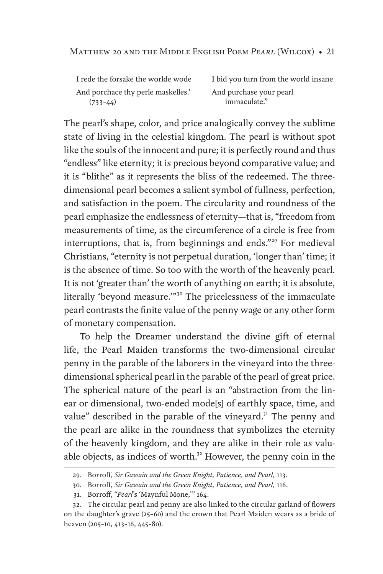| I rede the forsake the worlde wode |
|------------------------------------|
| And porchace thy perle maskelles.' |
| $(733-44)$                         |

I bid you turn from the world insane And purchase your pearl immaculate."

The pearl's shape, color, and price analogically convey the sublime state of living in the celestial kingdom. The pearl is without spot like the souls of the innocent and pure; it is perfectly round and thus "endless" like eternity; it is precious beyond comparative value; and it is "blithe" as it represents the bliss of the redeemed. The threedimensional pearl becomes a salient symbol of fullness, perfection, and satisfaction in the poem. The circularity and roundness of the pearl emphasize the endlessness of eternity—that is, "freedom from measurements of time, as the circumference of a circle is free from interruptions, that is, from beginnings and ends."<sup>29</sup> For medieval Christians, "eternity is not perpetual duration, 'longer than' time; it is the absence of time. So too with the worth of the heavenly pearl. It is not 'greater than' the worth of anything on earth; it is absolute, literally 'beyond measure.'" 30 The pricelessness of the immaculate pearl contrasts the finite value of the penny wage or any other form of monetary compensation.

To help the Dreamer understand the divine gift of eternal life, the Pearl Maiden transforms the two-dimensional circular penny in the parable of the laborers in the vineyard into the threedimensional spherical pearl in the parable of the pearl of great price. The spherical nature of the pearl is an "abstraction from the linear or dimensional, two-ended mode[s] of earthly space, time, and value" described in the parable of the vineyard.<sup>31</sup> The penny and the pearl are alike in the roundness that symbolizes the eternity of the heavenly kingdom, and they are alike in their role as valuable objects, as indices of worth.<sup>32</sup> However, the penny coin in the

<sup>29.</sup> Borroff, *Sir Gawain and the Green Knight, Patience, and Pearl*, 113.

<sup>30.</sup> Borroff, *Sir Gawain and the Green Knight, Patience, and Pearl*, 116.

<sup>31.</sup> Borroff, "*Pearl*'s 'Maynful Mone,'" 164.

<sup>32.</sup> The circular pearl and penny are also linked to the circular garland of flowers on the daughter's grave (25–60) and the crown that Pearl Maiden wears as a bride of heaven (205–10, 413–16, 445–80).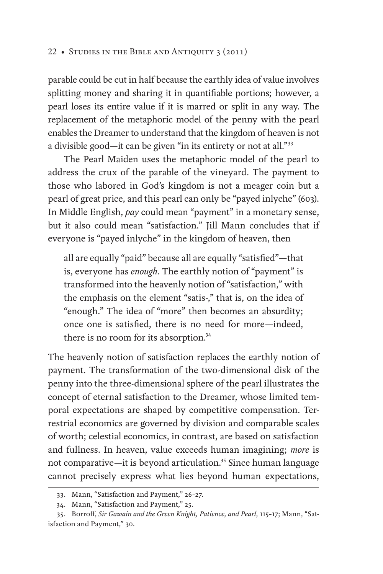parable could be cut in half because the earthly idea of value involves splitting money and sharing it in quantifiable portions; however, a pearl loses its entire value if it is marred or split in any way. The replacement of the metaphoric model of the penny with the pearl enables the Dreamer to understand that the kingdom of heaven is not a divisible good—it can be given "in its entirety or not at all."<sup>33</sup>

The Pearl Maiden uses the metaphoric model of the pearl to address the crux of the parable of the vineyard. The payment to those who labored in God's kingdom is not a meager coin but a pearl of great price, and this pearl can only be "payed inlyche" (603). In Middle English, *pay* could mean "payment" in a monetary sense, but it also could mean "satisfaction." Jill Mann concludes that if everyone is "payed inlyche" in the kingdom of heaven, then

all are equally "paid" because all are equally "satisfied"—that is, everyone has *enough*. The earthly notion of "payment" is transformed into the heavenly notion of "satisfaction," with the emphasis on the element "satis-," that is, on the idea of "enough." The idea of "more" then becomes an absurdity; once one is satisfied, there is no need for more—indeed, there is no room for its absorption.<sup>34</sup>

The heavenly notion of satisfaction replaces the earthly notion of payment. The transformation of the two-dimensional disk of the penny into the three-dimensional sphere of the pearl illustrates the concept of eternal satisfaction to the Dreamer, whose limited temporal expectations are shaped by competitive compensation. Terrestrial economics are governed by division and comparable scales of worth; celestial economics, in contrast, are based on satisfaction and fullness. In heaven, value exceeds human imagining; *more* is not comparative—it is beyond articulation.<sup>35</sup> Since human language cannot precisely express what lies beyond human expectations,

<sup>33.</sup> Mann, "Satisfaction and Payment," 26–27.

<sup>34.</sup> Mann, "Satisfaction and Payment," 25.

<sup>35.</sup> Borroff, *Sir Gawain and the Green Knight, Patience, and Pearl*, 115–17; Mann, "Satisfaction and Payment," 30.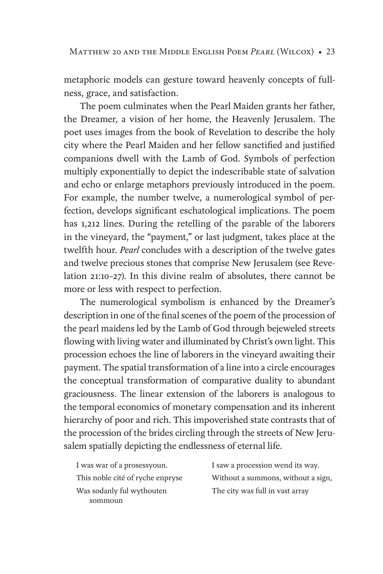metaphoric models can gesture toward heavenly concepts of fullness, grace, and satisfaction.

The poem culminates when the Pearl Maiden grants her father, the Dreamer, a vision of her home, the Heavenly Jerusalem. The poet uses images from the book of Revelation to describe the holy city where the Pearl Maiden and her fellow sanctified and justified companions dwell with the Lamb of God. Symbols of perfection multiply exponentially to depict the indescribable state of salvation and echo or enlarge metaphors previously introduced in the poem. For example, the number twelve, a numerological symbol of perfection, develops significant eschatological implications. The poem has 1,212 lines. During the retelling of the parable of the laborers in the vineyard, the "payment," or last judgment, takes place at the twelfth hour. *Pearl* concludes with a description of the twelve gates and twelve precious stones that comprise New Jerusalem (see Revelation 21:10–27). In this divine realm of absolutes, there cannot be more or less with respect to perfection.

The numerological symbolism is enhanced by the Dreamer's description in one of the final scenes of the poem of the procession of the pearl maidens led by the Lamb of God through bejeweled streets flowing with living water and illuminated by Christ's own light. This procession echoes the line of laborers in the vineyard awaiting their payment. The spatial transformation of a line into a circle encourages the conceptual transformation of comparative duality to abundant graciousness. The linear extension of the laborers is analogous to the temporal economics of monetary compensation and its inherent hierarchy of poor and rich. This impoverished state contrasts that of the procession of the brides circling through the streets of New Jerusalem spatially depicting the endlessness of eternal life.

I was war of a prosessyoun. This noble cité of ryche enpryse Was sodanly ful wythouten sommoun

I saw a procession wend its way. Without a summons, without a sign, The city was full in vast array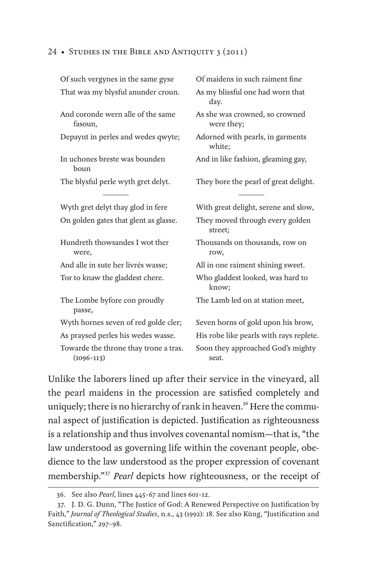| Of such vergynes in the same gyse                     | Of maidens in such raiment fine              |
|-------------------------------------------------------|----------------------------------------------|
| That was my blysful anunder croun.                    | As my blissful one had worn that<br>day.     |
| And coronde wern alle of the same<br>fasoun,          | As she was crowned, so crowned<br>were they; |
| Depaynt in perles and wedes qwyte;                    | Adorned with pearls, in garments<br>white;   |
| In uchones breste was bounden<br>boun                 | And in like fashion, gleaming gay,           |
| The blysful perle wyth gret delyt.                    | They bore the pearl of great delight.        |
| Wyth gret delyt thay glod in fere                     | With great delight, serene and slow,         |
| On golden gates that glent as glasse.                 | They moved through every golden<br>street;   |
| Hundreth thowsandes I wot ther<br>were,               | Thousands on thousands, row on<br>row,       |
| And alle in sute her livrés wasse;                    | All in one raiment shining sweet.            |
| Tor to knaw the gladdest chere.                       | Who gladdest looked, was hard to<br>know;    |
| The Lombe byfore con proudly<br>passe,                | The Lamb led on at station meet,             |
| Wyth hornes seven of red golde cler;                  | Seven horns of gold upon his brow,           |
| As praysed perles his wedes wasse.                    | His robe like pearls with rays replete.      |
| Towarde the throne thay trone a tras.<br>$(1096-113)$ | Soon they approached God's mighty<br>seat.   |

Unlike the laborers lined up after their service in the vineyard, all the pearl maidens in the procession are satisfied completely and uniquely; there is no hierarchy of rank in heaven.<sup>36</sup> Here the communal aspect of justification is depicted. Justification as righteousness is a relationship and thus involves covenantal nomism—that is, "the law understood as governing life within the covenant people, obedience to the law understood as the proper expression of covenant membership."<sup>37</sup> *Pearl* depicts how righteousness, or the receipt of

<sup>36.</sup> See also *Pearl*, lines 445–67 and lines 601–12.

<sup>37.</sup> J. D. G. Dunn, "The Justice of God: A Renewed Perspective on Justification by Faith," *Journal of Theological Studies*, n.s., 43 (1992): 18. See also Küng, "Justification and Sanctification," 297-98.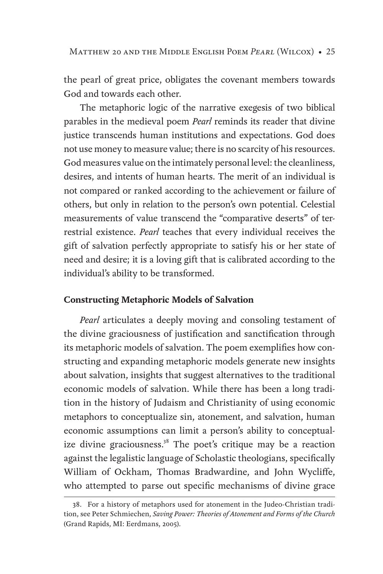the pearl of great price, obligates the covenant members towards God and towards each other.

The metaphoric logic of the narrative exegesis of two biblical parables in the medieval poem *Pearl* reminds its reader that divine justice transcends human institutions and expectations. God does not use money to measure value; there is no scarcity of his resources. God measures value on the intimately personal level: the cleanliness, desires, and intents of human hearts. The merit of an individual is not compared or ranked according to the achievement or failure of others, but only in relation to the person's own potential. Celestial measurements of value transcend the "comparative deserts" of terrestrial existence. *Pearl* teaches that every individual receives the gift of salvation perfectly appropriate to satisfy his or her state of need and desire; it is a loving gift that is calibrated according to the individual's ability to be transformed.

#### **Constructing Metaphoric Models of Salvation**

*Pearl* articulates a deeply moving and consoling testament of the divine graciousness of justification and sanctification through its metaphoric models of salvation. The poem exemplifies how constructing and expanding metaphoric models generate new insights about salvation, insights that suggest alternatives to the traditional economic models of salvation. While there has been a long tradition in the history of Judaism and Christianity of using economic metaphors to conceptualize sin, atonement, and salvation, human economic assumptions can limit a person's ability to conceptualize divine graciousness. $38$  The poet's critique may be a reaction against the legalistic language of Scholastic theologians, specifically William of Ockham, Thomas Bradwardine, and John Wycliffe, who attempted to parse out specific mechanisms of divine grace

<sup>38.</sup> For a history of metaphors used for atonement in the Judeo-Christian tradition, see Peter Schmiechen, *Saving Power: Theories of Atonement and Forms of the Church*  (Grand Rapids, MI: Eerdmans, 2005).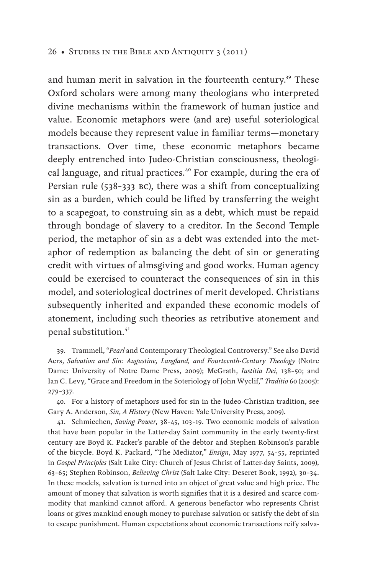and human merit in salvation in the fourteenth century.<sup>39</sup> These Oxford scholars were among many theologians who interpreted divine mechanisms within the framework of human justice and value. Economic metaphors were (and are) useful soteriological models because they represent value in familiar terms—monetary transactions. Over time, these economic metaphors became deeply entrenched into Judeo-Christian consciousness, theological language, and ritual practices.<sup>40</sup> For example, during the era of Persian rule (538–333 bc), there was a shift from conceptualizing sin as a burden, which could be lifted by transferring the weight to a scapegoat, to construing sin as a debt, which must be repaid through bondage of slavery to a creditor. In the Second Temple period, the metaphor of sin as a debt was extended into the metaphor of redemption as balancing the debt of sin or generating credit with virtues of almsgiving and good works. Human agency could be exercised to counteract the consequences of sin in this model, and soteriological doctrines of merit developed. Christians subsequently inherited and expanded these economic models of atonement, including such theories as retributive atonement and penal substitution.<sup>41</sup>

41. Schmiechen, *Saving Power*, 38–45, 103–19. Two economic models of salvation that have been popular in the Latter-day Saint community in the early twenty-first century are Boyd K. Packer's parable of the debtor and Stephen Robinson's parable of the bicycle. Boyd K. Packard, "The Mediator," *Ensign*, May 1977, 54–55, reprinted in *Gospel Principles* (Salt Lake City: Church of Jesus Christ of Latter-day Saints, 2009), 63–65; Stephen Robinson, *Believing Christ* (Salt Lake City: Deseret Book, 1992), 30–34. In these models, salvation is turned into an object of great value and high price. The amount of money that salvation is worth signifies that it is a desired and scarce commodity that mankind cannot afford. A generous benefactor who represents Christ loans or gives mankind enough money to purchase salvation or satisfy the debt of sin to escape punishment. Human expectations about economic transactions reify salva-

<sup>39.</sup> Trammell, "*Pearl* and Contemporary Theological Controversy." See also David Aers, *Salvation and Sin: Augustine, Langland, and Fourteenth-Century Theology* (Notre Dame: University of Notre Dame Press, 2009); McGrath, *Iustitia Dei*, 138–50; and Ian C. Levy, "Grace and Freedom in the Soteriology of John Wyclif," *Traditio* 60 (2005): 279–337.

<sup>40.</sup> For a history of metaphors used for sin in the Judeo-Christian tradition, see Gary A. Anderson, *Sin*, *A History* (New Haven: Yale University Press, 2009).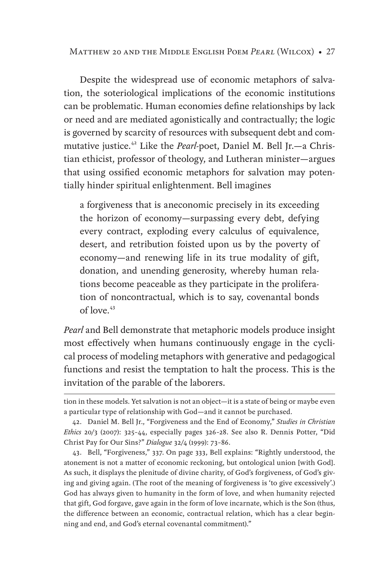Despite the widespread use of economic metaphors of salvation, the soteriological implications of the economic institutions can be problematic. Human economies define relationships by lack or need and are mediated agonistically and contractually; the logic is governed by scarcity of resources with subsequent debt and commutative justice.<sup>42</sup> Like the *Pearl*-poet, Daniel M. Bell Jr.—a Christian ethicist, professor of theology, and Lutheran minister—argues that using ossified economic metaphors for salvation may potentially hinder spiritual enlightenment. Bell imagines

a forgiveness that is aneconomic precisely in its exceeding the horizon of economy—surpassing every debt, defying every contract, exploding every calculus of equivalence, desert, and retribution foisted upon us by the poverty of economy—and renewing life in its true modality of gift, donation, and unending generosity, whereby human relations become peaceable as they participate in the proliferation of noncontractual, which is to say, covenantal bonds of love  $43$ 

*Pearl* and Bell demonstrate that metaphoric models produce insight most effectively when humans continuously engage in the cyclical process of modeling metaphors with generative and pedagogical functions and resist the temptation to halt the process. This is the invitation of the parable of the laborers.

43. Bell, "Forgiveness," 337. On page 333, Bell explains: "Rightly understood, the atonement is not a matter of economic reckoning, but ontological union [with God]. As such, it displays the plenitude of divine charity, of God's forgiveness, of God's giving and giving again. (The root of the meaning of forgiveness is 'to give excessively'.) God has always given to humanity in the form of love, and when humanity rejected that gift, God forgave, gave again in the form of love incarnate, which is the Son (thus, the difference between an economic, contractual relation, which has a clear beginning and end, and God's eternal covenantal commitment)."

tion in these models. Yet salvation is not an object—it is a state of being or maybe even a particular type of relationship with God—and it cannot be purchased.

<sup>42.</sup> Daniel M. Bell Jr., "Forgiveness and the End of Economy," *Studies in Christian Ethics* 20/3 (2007): 325–44, especially pages 326–28. See also R. Dennis Potter, "Did Christ Pay for Our Sins?" *Dialogue* 32/4 (1999): 73–86.